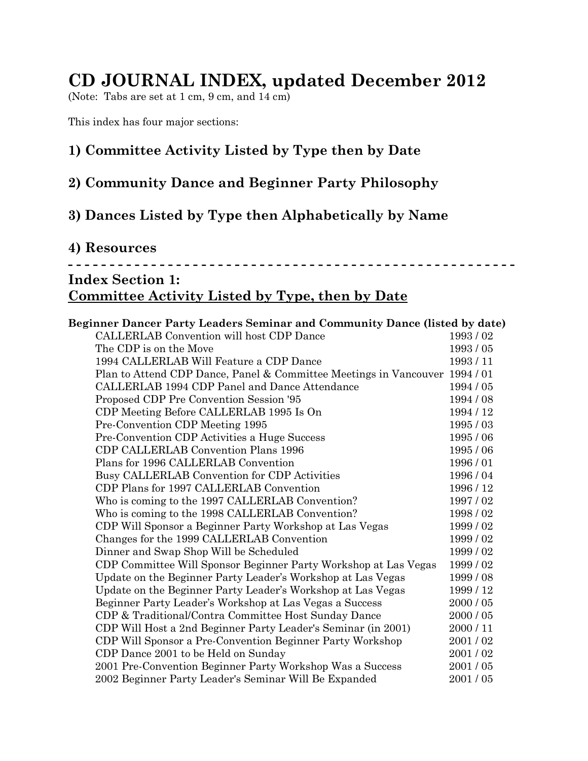# **CD JOURNAL INDEX, updated December 2012**

(Note: Tabs are set at 1 cm, 9 cm, and 14 cm)

This index has four major sections:

## **1) Committee Activity Listed by Type then by Date**

### **2) Community Dance and Beginner Party Philosophy**

## **3) Dances Listed by Type then Alphabetically by Name**

### **4) Resources - - - - - - - - - - - - - - - - - - - - - - - - - - - - - - - - - - - - - - - - - - - - - - - - - - - - - - Index Section 1: Committee Activity Listed by Type, then by Date**

#### **Beginner Dancer Party Leaders Seminar and Community Dance (listed by date)**

| CALLERLAB Convention will host CDP Dance                                  | 1993/02   |
|---------------------------------------------------------------------------|-----------|
| The CDP is on the Move                                                    | 1993/05   |
| 1994 CALLERLAB Will Feature a CDP Dance                                   | 1993/11   |
| Plan to Attend CDP Dance, Panel & Committee Meetings in Vancouver 1994/01 |           |
| CALLERLAB 1994 CDP Panel and Dance Attendance                             | 1994/05   |
| Proposed CDP Pre Convention Session '95                                   | 1994/08   |
| CDP Meeting Before CALLERLAB 1995 Is On                                   | 1994 / 12 |
| Pre-Convention CDP Meeting 1995                                           | 1995/03   |
| Pre-Convention CDP Activities a Huge Success                              | 1995/06   |
| CDP CALLERLAB Convention Plans 1996                                       | 1995/06   |
| Plans for 1996 CALLERLAB Convention                                       | 1996/01   |
| Busy CALLERLAB Convention for CDP Activities                              | 1996/04   |
| CDP Plans for 1997 CALLERLAB Convention                                   | 1996 / 12 |
| Who is coming to the 1997 CALLERLAB Convention?                           | 1997/02   |
| Who is coming to the 1998 CALLERLAB Convention?                           | 1998/02   |
| CDP Will Sponsor a Beginner Party Workshop at Las Vegas                   | 1999/02   |
| Changes for the 1999 CALLERLAB Convention                                 | 1999/02   |
| Dinner and Swap Shop Will be Scheduled                                    | 1999 / 02 |
| CDP Committee Will Sponsor Beginner Party Workshop at Las Vegas           | 1999/02   |
| Update on the Beginner Party Leader's Workshop at Las Vegas               | 1999/08   |
| Update on the Beginner Party Leader's Workshop at Las Vegas               | 1999/12   |
| Beginner Party Leader's Workshop at Las Vegas a Success                   | 2000 / 05 |
| CDP & Traditional/Contra Committee Host Sunday Dance                      | 2000 / 05 |
| CDP Will Host a 2nd Beginner Party Leader's Seminar (in 2001)             | 2000/11   |
| CDP Will Sponsor a Pre-Convention Beginner Party Workshop                 | 2001/02   |
| CDP Dance 2001 to be Held on Sunday                                       | 2001/02   |
| 2001 Pre-Convention Beginner Party Workshop Was a Success                 | 2001/05   |
| 2002 Beginner Party Leader's Seminar Will Be Expanded                     | 2001/05   |
|                                                                           |           |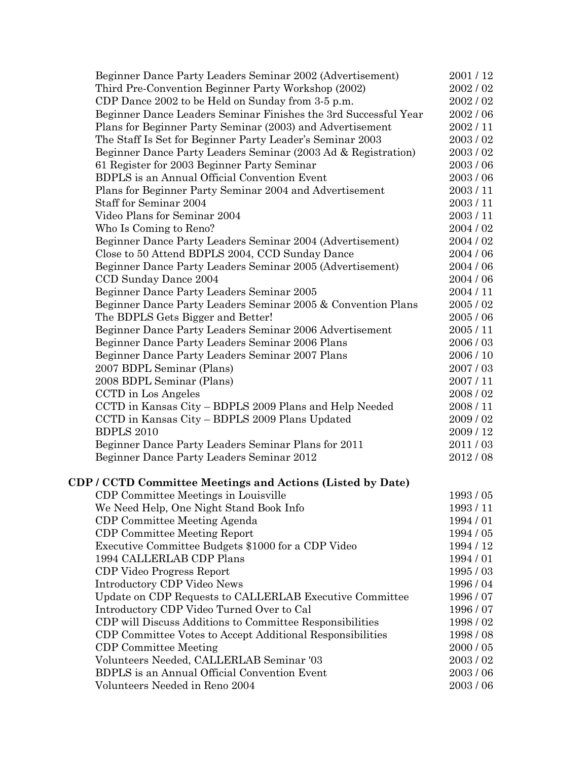| Beginner Dance Party Leaders Seminar 2002 (Advertisement)       | 2001/12   |
|-----------------------------------------------------------------|-----------|
| Third Pre-Convention Beginner Party Workshop (2002)             | 2002/02   |
| CDP Dance 2002 to be Held on Sunday from 3-5 p.m.               | 2002 / 02 |
| Beginner Dance Leaders Seminar Finishes the 3rd Successful Year | 2002/06   |
| Plans for Beginner Party Seminar (2003) and Advertisement       | 2002 / 11 |
| The Staff Is Set for Beginner Party Leader's Seminar 2003       | 2003/02   |
| Beginner Dance Party Leaders Seminar (2003 Ad & Registration)   | 2003 / 02 |
| 61 Register for 2003 Beginner Party Seminar                     | 2003/06   |
| <b>BDPLS</b> is an Annual Official Convention Event             | 2003/06   |
| Plans for Beginner Party Seminar 2004 and Advertisement         | 2003/11   |
| Staff for Seminar 2004                                          | 2003/11   |
| Video Plans for Seminar 2004                                    | 2003/11   |
| Who Is Coming to Reno?                                          | 2004 / 02 |
| Beginner Dance Party Leaders Seminar 2004 (Advertisement)       | 2004 / 02 |
| Close to 50 Attend BDPLS 2004, CCD Sunday Dance                 | 2004 / 06 |
| Beginner Dance Party Leaders Seminar 2005 (Advertisement)       | 2004 / 06 |
| CCD Sunday Dance 2004                                           | 2004 / 06 |
| Beginner Dance Party Leaders Seminar 2005                       | 2004 / 11 |
| Beginner Dance Party Leaders Seminar 2005 & Convention Plans    | 2005/02   |
| The BDPLS Gets Bigger and Better!                               | 2005/06   |
| Beginner Dance Party Leaders Seminar 2006 Advertisement         | 2005 / 11 |
| Beginner Dance Party Leaders Seminar 2006 Plans                 | 2006/03   |
| Beginner Dance Party Leaders Seminar 2007 Plans                 | 2006 / 10 |
| 2007 BDPL Seminar (Plans)                                       | 2007 / 03 |
| 2008 BDPL Seminar (Plans)                                       | 2007 / 11 |
| CCTD in Los Angeles                                             | 2008/02   |
| CCTD in Kansas City - BDPLS 2009 Plans and Help Needed          | 2008 / 11 |
| CCTD in Kansas City - BDPLS 2009 Plans Updated                  | 2009 / 02 |
| <b>BDPLS 2010</b>                                               | 2009/12   |
| Beginner Dance Party Leaders Seminar Plans for 2011             | 2011/03   |
| Beginner Dance Party Leaders Seminar 2012                       | 2012/08   |
|                                                                 |           |
| CDP / CCTD Committee Meetings and Actions (Listed by Date)      |           |
| CDP Committee Meetings in Louisville                            | 1993/05   |
| We Need Help, One Night Stand Book Info                         | 1993/11   |
| CDP Committee Meeting Agenda                                    | 1994/01   |
| <b>CDP Committee Meeting Report</b>                             | 1994 / 05 |
| Executive Committee Budgets \$1000 for a CDP Video              | 1994 / 12 |
| 1994 CALLERLAB CDP Plans                                        | 1994/01   |
| CDP Video Progress Report                                       | 1995/03   |
| Introductory CDP Video News                                     | 1996/04   |
| Update on CDP Requests to CALLERLAB Executive Committee         | 1996/07   |
| Introductory CDP Video Turned Over to Cal                       | 1996/07   |
| CDP will Discuss Additions to Committee Responsibilities        | 1998/02   |
| CDP Committee Votes to Accept Additional Responsibilities       | 1998/08   |
| <b>CDP</b> Committee Meeting                                    | 2000 / 05 |
| Volunteers Needed, CALLERLAB Seminar '03                        | 2003/02   |
| <b>BDPLS</b> is an Annual Official Convention Event             | 2003/06   |
| Volunteers Needed in Reno 2004                                  | 2003/06   |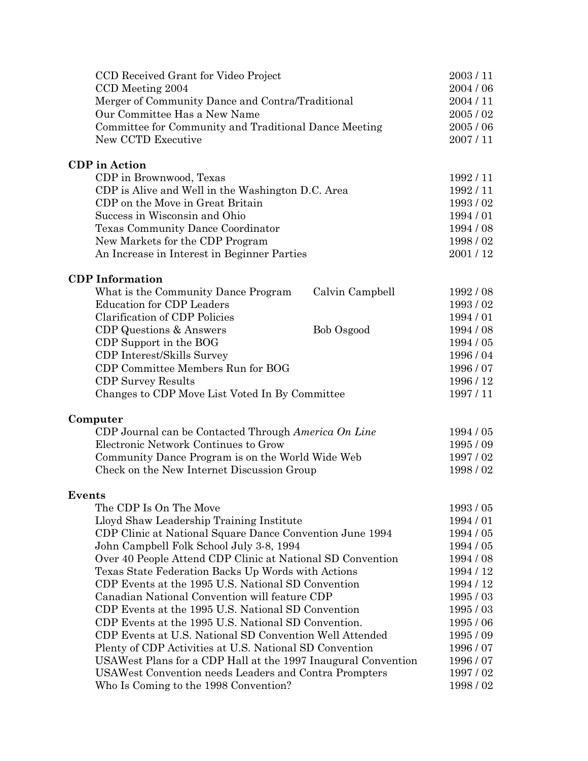| CCD Received Grant for Video Project                                                           | 2003/11            |
|------------------------------------------------------------------------------------------------|--------------------|
| CCD Meeting 2004                                                                               | 2004 / 06          |
| Merger of Community Dance and Contra/Traditional                                               | 2004/11            |
| Our Committee Has a New Name                                                                   | 2005/02            |
| Committee for Community and Traditional Dance Meeting                                          | 2005/06            |
| New CCTD Executive                                                                             | 2007/11            |
| <b>CDP</b> in Action                                                                           |                    |
| CDP in Brownwood, Texas                                                                        | 1992/11            |
| CDP is Alive and Well in the Washington D.C. Area                                              | 1992/11            |
| CDP on the Move in Great Britain                                                               | 1993/02            |
| Success in Wisconsin and Ohio                                                                  | 1994/01            |
| Texas Community Dance Coordinator                                                              | 1994 / 08          |
| New Markets for the CDP Program                                                                | 1998/02            |
| An Increase in Interest in Beginner Parties                                                    | 2001/12            |
| <b>CDP</b> Information                                                                         |                    |
| What is the Community Dance Program<br>Calvin Campbell                                         | 1992/08            |
| <b>Education for CDP Leaders</b>                                                               | 1993/02            |
| <b>Clarification of CDP Policies</b>                                                           | 1994/01            |
| CDP Questions & Answers<br>Bob Osgood                                                          | 1994 / 08          |
| CDP Support in the BOG                                                                         | 1994/05            |
| CDP Interest/Skills Survey                                                                     | 1996/04            |
| CDP Committee Members Run for BOG                                                              | 1996/07            |
| <b>CDP</b> Survey Results                                                                      | 1996 / 12          |
| Changes to CDP Move List Voted In By Committee                                                 | 1997/11            |
| Computer                                                                                       |                    |
| CDP Journal can be Contacted Through America On Line<br>Electronic Network Continues to Grow   | 1994 / 05          |
|                                                                                                | 1995/09<br>1997/02 |
| Community Dance Program is on the World Wide Web<br>Check on the New Internet Discussion Group |                    |
|                                                                                                | 1998/02            |
| <b>Events</b>                                                                                  |                    |
| The CDP Is On The Move                                                                         | 1993/05            |
| Lloyd Shaw Leadership Training Institute                                                       | 1994/01            |
| CDP Clinic at National Square Dance Convention June 1994                                       | 1994 / 05          |
| John Campbell Folk School July 3-8, 1994                                                       | 1994 / 05          |
| Over 40 People Attend CDP Clinic at National SD Convention                                     | 1994 / 08          |
| Texas State Federation Backs Up Words with Actions                                             | 1994 / 12          |
| CDP Events at the 1995 U.S. National SD Convention                                             | 1994 / 12          |
| Canadian National Convention will feature CDP                                                  | 1995/03            |
| CDP Events at the 1995 U.S. National SD Convention                                             | 1995/03            |
| CDP Events at the 1995 U.S. National SD Convention.                                            | 1995/06            |
| CDP Events at U.S. National SD Convention Well Attended                                        | 1995/09            |
| Plenty of CDP Activities at U.S. National SD Convention                                        | 1996/07            |
| USAWest Plans for a CDP Hall at the 1997 Inaugural Convention                                  | 1996/07            |
| USAWest Convention needs Leaders and Contra Prompters                                          | 1997/02            |
| Who Is Coming to the 1998 Convention?                                                          | 1998/02            |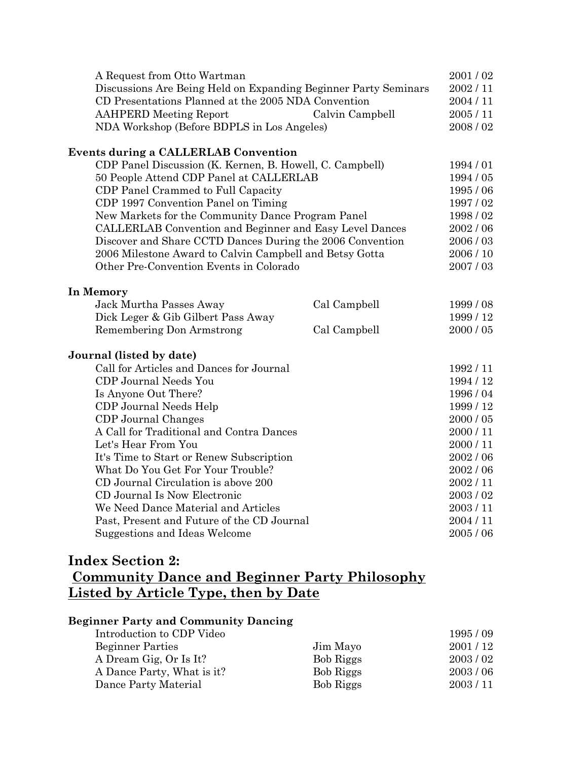| 2001/02   |
|-----------|
| 2002/11   |
| 2004 / 11 |
| 2005/11   |
| 2008/02   |
|           |
| 1994/01   |
| 1994 / 05 |
| 1995/06   |
| 1997/02   |
| 1998/02   |
| 2002/06   |
| 2006/03   |
| 2006 / 10 |
| 2007/03   |
|           |
| 1999/08   |
| 1999/12   |
| 2000 / 05 |
|           |
| 1992/11   |
| 1994 / 12 |
| 1996/04   |
| 1999 / 12 |
| 2000 / 05 |
| 2000/11   |
| 2000/11   |
| 2002/06   |
| 2002/06   |
| 2002/11   |
| 2003/02   |
| 2003/11   |
| 2004/11   |
| 2005/06   |
|           |

## **Index Section 2:**

## **Community Dance and Beginner Party Philosophy Listed by Article Type, then by Date**

#### **Beginner Party and Community Dancing**

| Introduction to CDP Video  |           | 1995/09 |
|----------------------------|-----------|---------|
| <b>Beginner Parties</b>    | Jim Mayo  | 2001/12 |
| A Dream Gig, Or Is It?     | Bob Riggs | 2003/02 |
| A Dance Party, What is it? | Bob Riggs | 2003/06 |
| Dance Party Material       | Bob Riggs | 2003/11 |
|                            |           |         |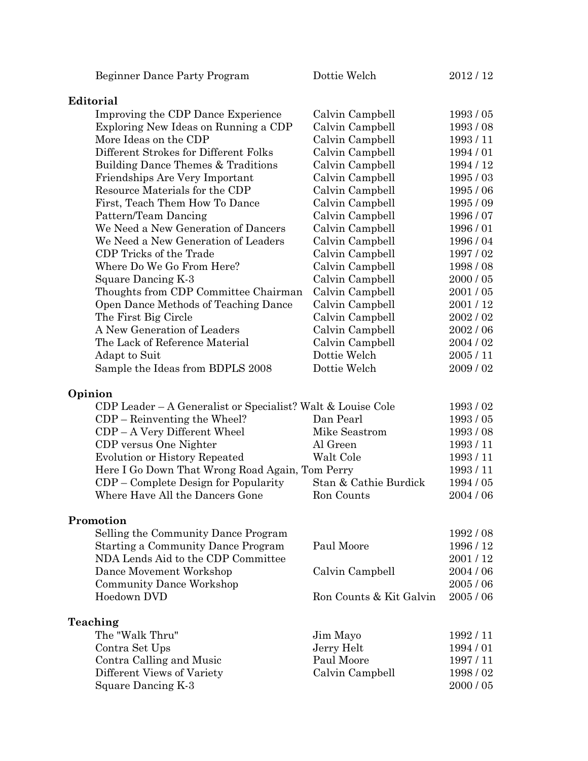| Beginner Dance Party Program                                | Dottie Welch            | 2012/12       |
|-------------------------------------------------------------|-------------------------|---------------|
| Editorial                                                   |                         |               |
| Improving the CDP Dance Experience                          | Calvin Campbell         | 1993/05       |
| Exploring New Ideas on Running a CDP                        | Calvin Campbell         | 1993/08       |
| More Ideas on the CDP                                       | Calvin Campbell         | 1993/11       |
| Different Strokes for Different Folks                       | Calvin Campbell         | 1994/01       |
| Building Dance Themes & Traditions                          | Calvin Campbell         | 1994 / 12     |
| Friendships Are Very Important                              | Calvin Campbell         | 1995/03       |
| Resource Materials for the CDP                              | Calvin Campbell         | 1995/06       |
| First, Teach Them How To Dance                              | Calvin Campbell         | 1995 / 09     |
| Pattern/Team Dancing                                        | Calvin Campbell         | 1996 / 07     |
| We Need a New Generation of Dancers                         | Calvin Campbell         | 1996/01       |
| We Need a New Generation of Leaders                         | Calvin Campbell         | 1996 / 04     |
| CDP Tricks of the Trade                                     | Calvin Campbell         | 1997/02       |
| Where Do We Go From Here?                                   | Calvin Campbell         | 1998/08       |
| Square Dancing K-3                                          | Calvin Campbell         | $2000\,/\,05$ |
| Thoughts from CDP Committee Chairman                        | Calvin Campbell         | 2001/05       |
| Open Dance Methods of Teaching Dance                        | Calvin Campbell         | 2001/12       |
| The First Big Circle                                        | Calvin Campbell         | 2002/02       |
| A New Generation of Leaders                                 | Calvin Campbell         | 2002 / 06     |
| The Lack of Reference Material                              | Calvin Campbell         | 2004 / 02     |
|                                                             | Dottie Welch            | 2005/11       |
| Adapt to Suit<br>Sample the Ideas from BDPLS 2008           | Dottie Welch            | 2009/02       |
|                                                             |                         |               |
| Opinion                                                     |                         |               |
| CDP Leader – A Generalist or Specialist? Walt & Louise Cole |                         | 1993/02       |
| $CDP - Reinverting the Wheeler?$                            | Dan Pearl               | 1993/05       |
| $CDP - A$ Very Different Wheel                              | Mike Seastrom           | 1993/08       |
| CDP versus One Nighter                                      | Al Green                | 1993/11       |
| <b>Evolution or History Repeated</b>                        | Walt Cole               | 1993 / 11     |
| Here I Go Down That Wrong Road Again, Tom Perry             |                         | 1993/11       |
| CDP – Complete Design for Popularity                        | Stan & Cathie Burdick   | 1994 / 05     |
| Where Have All the Dancers Gone                             | Ron Counts              | 2004 / 06     |
| Promotion                                                   |                         |               |
| Selling the Community Dance Program                         |                         | 1992 / 08     |
| <b>Starting a Community Dance Program</b>                   | Paul Moore              | 1996 / 12     |
| NDA Lends Aid to the CDP Committee                          |                         | 2001/12       |
| Dance Movement Workshop                                     | Calvin Campbell         | 2004 / 06     |
| <b>Community Dance Workshop</b>                             |                         | 2005/06       |
| Hoedown DVD                                                 | Ron Counts & Kit Galvin | 2005/06       |
| Teaching                                                    |                         |               |
| The "Walk Thru"                                             | Jim Mayo                | 1992/11       |
| Contra Set Ups                                              | Jerry Helt              | 1994 / 01     |
| Contra Calling and Music                                    | Paul Moore              | 1997/11       |
| Different Views of Variety                                  | Calvin Campbell         | 1998/02       |
| Square Dancing K-3                                          |                         | 2000 / 05     |
|                                                             |                         |               |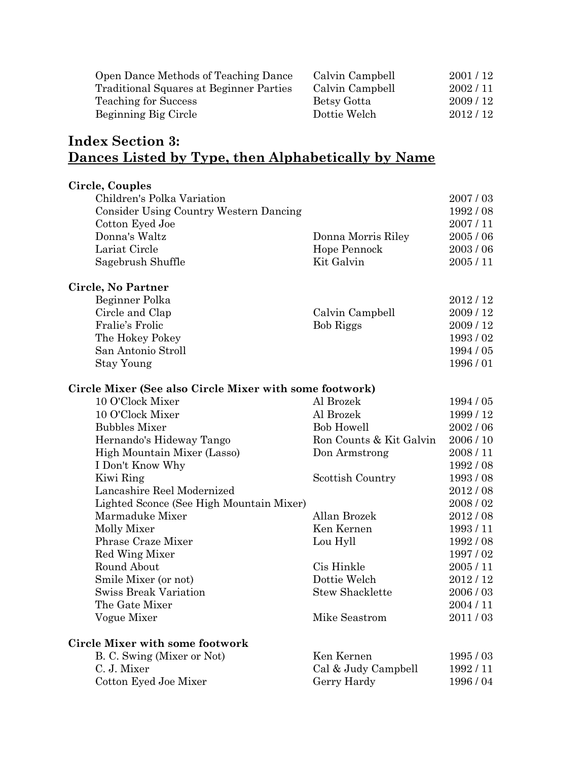| Open Dance Methods of Teaching Dance    | Calvin Campbell | 2001/12 |
|-----------------------------------------|-----------------|---------|
| Traditional Squares at Beginner Parties | Calvin Campbell | 2002/11 |
| Teaching for Success                    | Betsy Gotta     | 2009/12 |
| Beginning Big Circle                    | Dottie Welch    | 2012/12 |

## **Index Section 3: Dances Listed by Type, then Alphabetically by Name**

| Circle, Couples                                         |                         |           |
|---------------------------------------------------------|-------------------------|-----------|
| Children's Polka Variation                              |                         | 2007/03   |
| <b>Consider Using Country Western Dancing</b>           |                         | 1992/08   |
| Cotton Eyed Joe                                         |                         | 2007/11   |
| Donna's Waltz                                           | Donna Morris Riley      | 2005/06   |
| Lariat Circle                                           | Hope Pennock            | 2003/06   |
| Sagebrush Shuffle                                       | Kit Galvin              | 2005/11   |
| Circle, No Partner                                      |                         |           |
| Beginner Polka                                          |                         | 2012/12   |
| Circle and Clap                                         | Calvin Campbell         | 2009/12   |
| Fralie's Frolic                                         | <b>Bob Riggs</b>        | 2009/12   |
| The Hokey Pokey                                         |                         | 1993/02   |
| San Antonio Stroll                                      |                         | 1994 / 05 |
| <b>Stay Young</b>                                       |                         | 1996/01   |
| Circle Mixer (See also Circle Mixer with some footwork) |                         |           |
| 10 O'Clock Mixer                                        | Al Brozek               | 1994 / 05 |
| 10 O'Clock Mixer                                        | Al Brozek               | 1999/12   |
| <b>Bubbles Mixer</b>                                    | <b>Bob Howell</b>       | 2002/06   |
| Hernando's Hideway Tango                                | Ron Counts & Kit Galvin | 2006/10   |
| High Mountain Mixer (Lasso)                             | Don Armstrong           | 2008/11   |
| I Don't Know Why                                        |                         | 1992/08   |
| Kiwi Ring                                               | Scottish Country        | 1993/08   |
| Lancashire Reel Modernized                              |                         | 2012/08   |
| Lighted Sconce (See High Mountain Mixer)                |                         | 2008/02   |
| Marmaduke Mixer                                         | Allan Brozek            | 2012/08   |
| Molly Mixer                                             | Ken Kernen              | 1993/11   |
| Phrase Craze Mixer                                      | Lou Hyll                | 1992/08   |
| Red Wing Mixer                                          |                         | 1997/02   |
| Round About                                             | Cis Hinkle              | 2005/11   |
| Smile Mixer (or not)                                    | Dottie Welch            | 2012/12   |
| <b>Swiss Break Variation</b>                            | <b>Stew Shacklette</b>  | 2006/03   |
| The Gate Mixer                                          |                         | 2004/11   |
| Vogue Mixer                                             | Mike Seastrom           | 2011/03   |
| <b>Circle Mixer with some footwork</b>                  |                         |           |
| B. C. Swing (Mixer or Not)                              | Ken Kernen              | 1995/03   |
| C. J. Mixer                                             | Cal & Judy Campbell     | 1992/11   |
| Cotton Eyed Joe Mixer                                   | Gerry Hardy             | 1996/04   |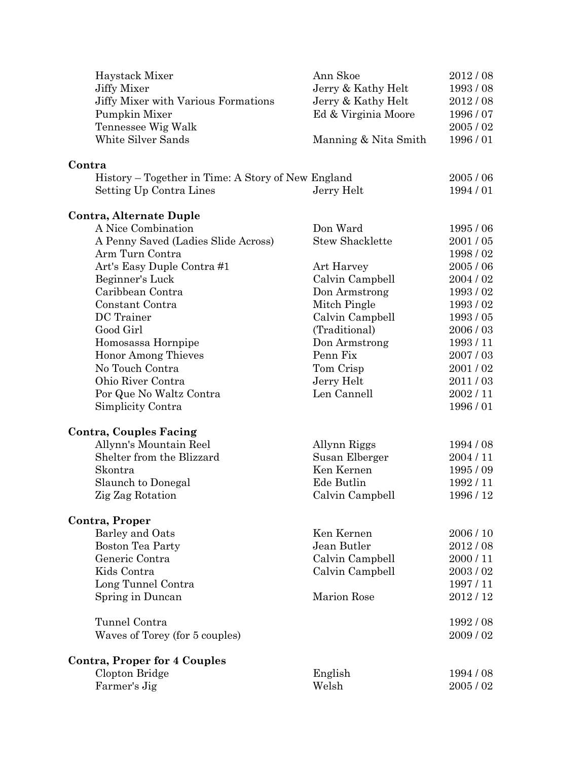| Haystack Mixer                                     | Ann Skoe                  | 2012/08            |
|----------------------------------------------------|---------------------------|--------------------|
| <b>Jiffy Mixer</b>                                 | Jerry & Kathy Helt        | 1993/08            |
| Jiffy Mixer with Various Formations                | Jerry & Kathy Helt        | 2012/08            |
| Pumpkin Mixer                                      | Ed & Virginia Moore       | 1996 / 07          |
| Tennessee Wig Walk                                 |                           | 2005/02            |
| White Silver Sands                                 | Manning & Nita Smith      | 1996/01            |
| Contra                                             |                           |                    |
| History – Together in Time: A Story of New England |                           | 2005/06            |
| Setting Up Contra Lines                            | Jerry Helt                | 1994/01            |
| Contra, Alternate Duple                            |                           |                    |
| A Nice Combination                                 | Don Ward                  | 1995/06            |
| A Penny Saved (Ladies Slide Across)                | <b>Stew Shacklette</b>    | 2001/05            |
| Arm Turn Contra                                    |                           | 1998/02            |
| Art's Easy Duple Contra#1                          | Art Harvey                | 2005/06            |
| Beginner's Luck                                    | Calvin Campbell           | 2004/02            |
| Caribbean Contra                                   | Don Armstrong             | 1993/02            |
| Constant Contra                                    | Mitch Pingle              | 1993/02            |
| DC Trainer                                         | Calvin Campbell           | 1993/05            |
| Good Girl                                          | (Traditional)             | 2006/03            |
| Homosassa Hornpipe                                 | Don Armstrong             | 1993/11            |
| <b>Honor Among Thieves</b>                         | Penn Fix                  | 2007/03            |
| No Touch Contra                                    | Tom Crisp                 | 2001/02            |
| Ohio River Contra                                  | Jerry Helt<br>Len Cannell | 2011/03            |
| Por Que No Waltz Contra<br>Simplicity Contra       |                           | 2002/11<br>1996/01 |
|                                                    |                           |                    |
| <b>Contra, Couples Facing</b>                      |                           |                    |
| Allynn's Mountain Reel                             | Allynn Riggs              | 1994 / 08          |
| Shelter from the Blizzard                          | Susan Elberger            | 2004 / 11          |
| Skontra                                            | Ken Kernen                | 1995/09            |
| Slaunch to Donegal                                 | Ede Butlin                | 1992/11            |
| Zig Zag Rotation                                   | Calvin Campbell           | 1996 / 12          |
| Contra, Proper                                     |                           |                    |
| Barley and Oats                                    | Ken Kernen                | 2006 / 10          |
| <b>Boston Tea Party</b>                            | Jean Butler               | 2012/08            |
| Generic Contra                                     | Calvin Campbell           | 2000/11            |
| Kids Contra                                        | Calvin Campbell           | 2003/02            |
| Long Tunnel Contra                                 |                           | 1997/11            |
| Spring in Duncan                                   | Marion Rose               | 2012/12            |
| Tunnel Contra                                      |                           | 1992/08            |
| Waves of Torey (for 5 couples)                     |                           | 2009/02            |
| <b>Contra, Proper for 4 Couples</b>                |                           |                    |
| Clopton Bridge                                     | English                   | 1994 / 08          |
| Farmer's Jig                                       | Welsh                     | 2005/02            |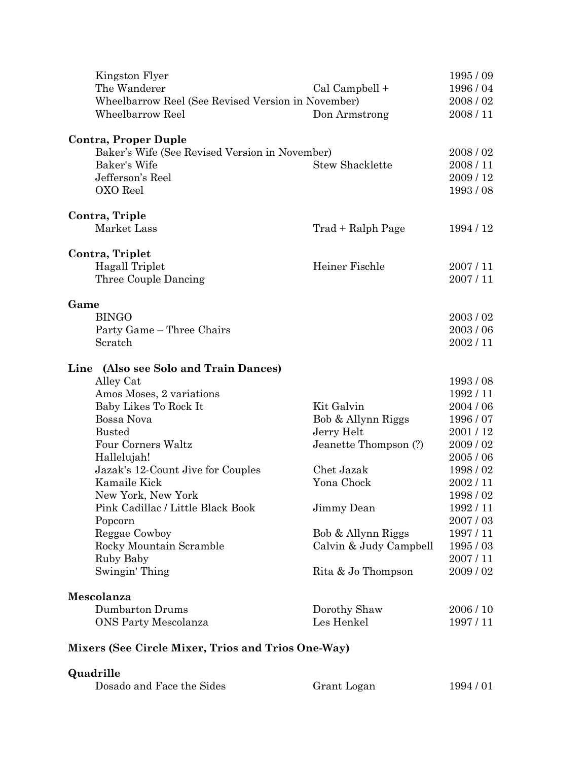| Kingston Flyer                                        |                            | 1995/09              |
|-------------------------------------------------------|----------------------------|----------------------|
| The Wanderer                                          | Cal Campbell +             | 1996/04              |
| Wheelbarrow Reel (See Revised Version in November)    |                            | 2008/02              |
| Wheelbarrow Reel                                      | Don Armstrong              | 2008/11              |
| <b>Contra, Proper Duple</b>                           |                            |                      |
| Baker's Wife (See Revised Version in November)        |                            | 2008/02              |
| Baker's Wife                                          | <b>Stew Shacklette</b>     | 2008/11              |
| Jefferson's Reel                                      |                            | 2009/12              |
| OXO Reel                                              |                            | 1993/08              |
| Contra, Triple                                        |                            |                      |
| Market Lass                                           | Trad + Ralph Page          | 1994 / 12            |
| Contra, Triplet                                       |                            |                      |
| Hagall Triplet                                        | Heiner Fischle             | 2007/11              |
| Three Couple Dancing                                  |                            | 2007/11              |
| Game                                                  |                            |                      |
| <b>BINGO</b>                                          |                            | 2003/02              |
| Party Game - Three Chairs                             |                            | 2003/06              |
| Scratch                                               |                            | 2002/11              |
| Line (Also see Solo and Train Dances)                 |                            |                      |
| Alley Cat                                             |                            | 1993/08              |
| Amos Moses, 2 variations                              |                            | 1992/11              |
| Baby Likes To Rock It                                 | Kit Galvin                 | 2004 / 06            |
| Bossa Nova                                            | Bob & Allynn Riggs         | 1996/07              |
| <b>Busted</b>                                         | Jerry Helt                 | 2001/12              |
| Four Corners Waltz                                    | Jeanette Thompson (?)      | 2009/02              |
| Hallelujah!                                           |                            | 2005/06              |
| Jazak's 12-Count Jive for Couples                     | Chet Jazak                 | 1998/02              |
| Kamaile Kick                                          | Yona Chock                 | 2002/11              |
| New York, New York                                    |                            | 1998 / 02            |
| Pink Cadillac / Little Black Book                     | Jimmy Dean                 | 1992/11              |
| Popcorn                                               |                            | 2007/03              |
| Reggae Cowboy                                         | Bob & Allynn Riggs         | 1997/11              |
| Rocky Mountain Scramble                               | Calvin & Judy Campbell     | 1995/03<br>2007/11   |
| Ruby Baby<br>Swingin' Thing                           | Rita & Jo Thompson         | 2009/02              |
| Mescolanza                                            |                            |                      |
|                                                       |                            |                      |
|                                                       |                            |                      |
| <b>Dumbarton Drums</b><br><b>ONS Party Mescolanza</b> | Dorothy Shaw<br>Les Henkel | 2006 / 10<br>1997/11 |

#### **Mixers (See Circle Mixer, Trios and Trios One-Way)**

## **Quadrille**

| Dosado and Face the Sides | Grant Logan | 1994 / 01 |
|---------------------------|-------------|-----------|
|                           |             |           |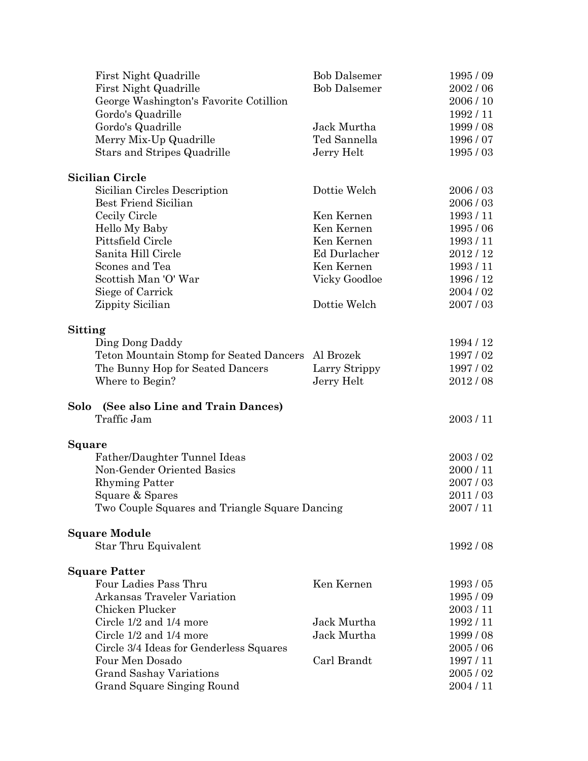| First Night Quadrille                             | <b>Bob Dalsemer</b> | 1995/09   |
|---------------------------------------------------|---------------------|-----------|
| First Night Quadrille                             | <b>Bob Dalsemer</b> | 2002/06   |
| George Washington's Favorite Cotillion            |                     | 2006/10   |
| Gordo's Quadrille                                 |                     | 1992/11   |
| Gordo's Quadrille                                 | Jack Murtha         | 1999/08   |
| Merry Mix-Up Quadrille                            | Ted Sannella        | 1996/07   |
| Stars and Stripes Quadrille                       | Jerry Helt          | 1995/03   |
| <b>Sicilian Circle</b>                            |                     |           |
| Sicilian Circles Description                      | Dottie Welch        | 2006/03   |
| <b>Best Friend Sicilian</b>                       |                     | 2006/03   |
| Cecily Circle                                     | Ken Kernen          | 1993/11   |
| Hello My Baby                                     | Ken Kernen          | 1995/06   |
| Pittsfield Circle                                 | Ken Kernen          | 1993/11   |
| Sanita Hill Circle                                | Ed Durlacher        | 2012/12   |
| Scones and Tea                                    | Ken Kernen          | 1993/11   |
| Scottish Man 'O' War                              | Vicky Goodloe       | 1996 / 12 |
| Siege of Carrick                                  |                     | 2004/02   |
| Zippity Sicilian                                  | Dottie Welch        | 2007/03   |
| Sitting                                           |                     |           |
| Ding Dong Daddy                                   |                     | 1994 / 12 |
| Teton Mountain Stomp for Seated Dancers Al Brozek |                     | 1997/02   |
| The Bunny Hop for Seated Dancers                  | Larry Strippy       | 1997/02   |
| Where to Begin?                                   | Jerry Helt          | 2012/08   |
| Solo (See also Line and Train Dances)             |                     |           |
| Traffic Jam                                       |                     | 2003/11   |
| Square                                            |                     |           |
| Father/Daughter Tunnel Ideas                      |                     | 2003/02   |
| Non-Gender Oriented Basics                        |                     | 2000/11   |
| <b>Rhyming Patter</b>                             |                     | 2007/03   |
| Square & Spares                                   |                     | 2011/03   |
| Two Couple Squares and Triangle Square Dancing    |                     | 2007/11   |
| <b>Square Module</b>                              |                     |           |
| Star Thru Equivalent                              |                     | 1992/08   |
| <b>Square Patter</b>                              |                     |           |
| Four Ladies Pass Thru                             | Ken Kernen          | 1993/05   |
| Arkansas Traveler Variation                       |                     | 1995/09   |
| Chicken Plucker                                   |                     | 2003/11   |
| Circle $1/2$ and $1/4$ more                       | Jack Murtha         | 1992/11   |
| Circle 1/2 and 1/4 more                           | Jack Murtha         | 1999/08   |
| Circle 3/4 Ideas for Genderless Squares           |                     | 2005/06   |
| Four Men Dosado                                   | Carl Brandt         | 1997 / 11 |
| <b>Grand Sashay Variations</b>                    |                     | 2005/02   |
| Grand Square Singing Round                        |                     | 2004 / 11 |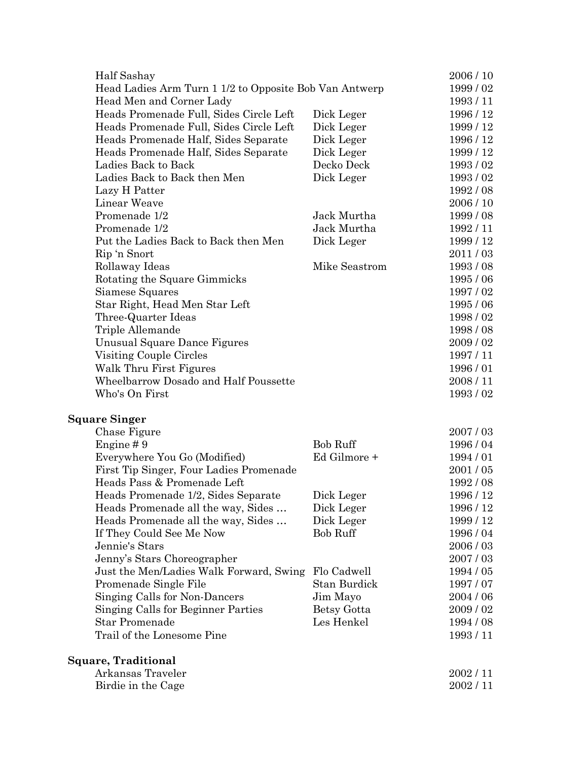| Half Sashay                                            |                 | 2006 / 10 |
|--------------------------------------------------------|-----------------|-----------|
| Head Ladies Arm Turn 1 1/2 to Opposite Bob Van Antwerp | 1999 / 02       |           |
| Head Men and Corner Lady                               |                 | 1993/11   |
| Heads Promenade Full, Sides Circle Left                | Dick Leger      | 1996 / 12 |
| Heads Promenade Full, Sides Circle Left                | Dick Leger      | 1999/12   |
| Heads Promenade Half, Sides Separate                   | Dick Leger      | 1996 / 12 |
| Heads Promenade Half, Sides Separate                   | Dick Leger      | 1999 / 12 |
| Ladies Back to Back                                    | Decko Deck      | 1993/02   |
| Ladies Back to Back then Men                           | Dick Leger      | 1993/02   |
| Lazy H Patter                                          |                 | 1992/08   |
| Linear Weave                                           |                 | 2006/10   |
| Promenade 1/2                                          | Jack Murtha     | 1999/08   |
| Promenade 1/2                                          | Jack Murtha     | 1992/11   |
| Put the Ladies Back to Back then Men                   | Dick Leger      | 1999/12   |
| Rip 'n Snort                                           |                 | 2011/03   |
| Rollaway Ideas                                         | Mike Seastrom   | 1993/08   |
| Rotating the Square Gimmicks                           |                 | 1995/06   |
| Siamese Squares                                        |                 | 1997/02   |
| Star Right, Head Men Star Left                         |                 | 1995 / 06 |
| Three-Quarter Ideas                                    |                 | 1998/02   |
| Triple Allemande                                       |                 | 1998/08   |
| Unusual Square Dance Figures                           |                 | 2009/02   |
| Visiting Couple Circles                                |                 | 1997/11   |
| Walk Thru First Figures                                |                 | 1996/01   |
| Wheelbarrow Dosado and Half Poussette                  |                 | 2008/11   |
| Who's On First                                         |                 | 1993/02   |
| <b>Square Singer</b>                                   |                 |           |
| Chase Figure                                           |                 | 2007/03   |
| Engine #9                                              | <b>Bob Ruff</b> | 1996/04   |
| Everywhere You Go (Modified)                           | Ed Gilmore +    | 1994/01   |
| First Tip Singer, Four Ladies Promenade                |                 | 2001/05   |
| Heads Pass & Promenade Left                            |                 | 1992/08   |
| Heads Promenade 1/2, Sides Separate                    | Dick Leger      | 1996 / 12 |
| Heads Promenade all the way, Sides                     | Dick Leger      | 1996 / 12 |
| Heads Promenade all the way, Sides                     | Dick Leger      | 1999 / 12 |
| If They Could See Me Now                               | <b>Bob Ruff</b> | 1996/04   |
| Jennie's Stars                                         |                 | 2006/03   |
| Jenny's Stars Choreographer                            |                 | 2007/03   |
| Just the Men/Ladies Walk Forward, Swing                | Flo Cadwell     | 1994 / 05 |
| Promenade Single File                                  | Stan Burdick    | 1997/07   |
| Singing Calls for Non-Dancers                          | Jim Mayo        | 2004 / 06 |
| Singing Calls for Beginner Parties                     | Betsy Gotta     | 2009/02   |
| <b>Star Promenade</b>                                  | Les Henkel      | 1994 / 08 |
| Trail of the Lonesome Pine                             |                 | 1993/11   |
| <b>Square, Traditional</b>                             |                 |           |
| Arkansas Traveler                                      |                 | 2002/11   |
| Birdie in the Cage                                     |                 | 2002/11   |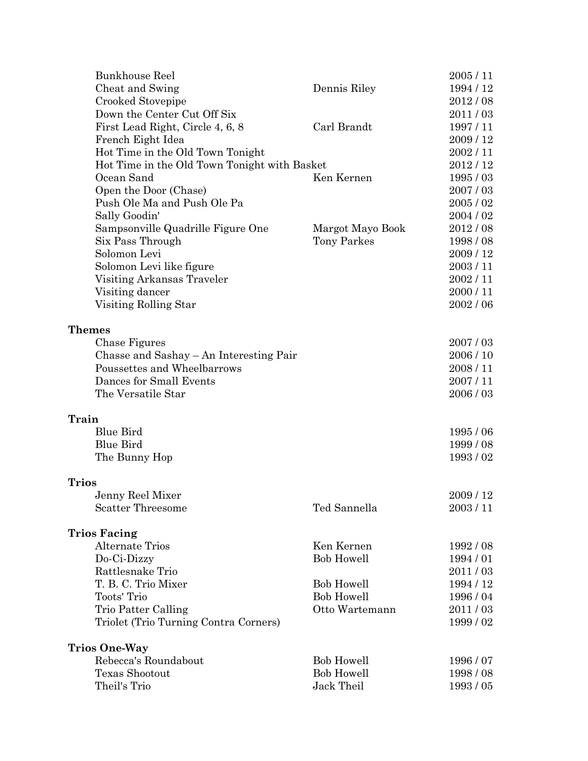|               | <b>Bunkhouse Reel</b>                                    |                   | 2005/11   |
|---------------|----------------------------------------------------------|-------------------|-----------|
|               | Cheat and Swing                                          | Dennis Riley      | 1994 / 12 |
|               | Crooked Stovepipe                                        |                   | 2012/08   |
|               | Down the Center Cut Off Six                              |                   | 2011/03   |
|               | First Lead Right, Circle 4, 6, 8                         | Carl Brandt       | 1997/11   |
|               | French Eight Idea                                        |                   | 2009/12   |
|               | Hot Time in the Old Town Tonight                         |                   | 2002/11   |
|               | Hot Time in the Old Town Tonight with Basket             |                   | 2012/12   |
|               | Ocean Sand                                               | Ken Kernen        | 1995/03   |
|               | Open the Door (Chase)                                    |                   | 2007/03   |
|               | Push Ole Ma and Push Ole Pa                              |                   | 2005/02   |
|               | Sally Goodin'                                            |                   | 2004/02   |
|               | Sampsonville Quadrille Figure One                        | Margot Mayo Book  | 2012/08   |
|               | Six Pass Through                                         | Tony Parkes       | 1998/08   |
|               | Solomon Levi                                             |                   | 2009 / 12 |
|               | Solomon Levi like figure                                 |                   | 2003/11   |
|               | Visiting Arkansas Traveler                               |                   | 2002/11   |
|               | Visiting dancer                                          |                   | 2000/11   |
|               | Visiting Rolling Star                                    |                   | 2002/06   |
|               |                                                          |                   |           |
| <b>Themes</b> |                                                          |                   | 2007/03   |
|               | Chase Figures<br>Chasse and Sashay – An Interesting Pair |                   | 2006 / 10 |
|               | Poussettes and Wheelbarrows                              |                   | 2008/11   |
|               | Dances for Small Events                                  |                   | 2007/11   |
|               | The Versatile Star                                       |                   | 2006/03   |
|               |                                                          |                   |           |
| Train         |                                                          |                   |           |
|               | <b>Blue Bird</b>                                         |                   | 1995/06   |
|               | <b>Blue Bird</b>                                         |                   | 1999/08   |
|               | The Bunny Hop                                            |                   | 1993/02   |
| <b>Trios</b>  |                                                          |                   |           |
|               | Jenny Reel Mixer                                         |                   | 2009/12   |
|               | <b>Scatter Threesome</b>                                 | Ted Sannella      | 2003/11   |
|               |                                                          |                   |           |
|               | <b>Trios Facing</b>                                      |                   |           |
|               | <b>Alternate Trios</b>                                   | Ken Kernen        | 1992/08   |
|               | Do-Ci-Dizzy                                              | <b>Bob Howell</b> | 1994/01   |
|               | Rattlesnake Trio                                         |                   | 2011/03   |
|               | T. B. C. Trio Mixer                                      | <b>Bob Howell</b> | 1994 / 12 |
|               | Toots' Trio                                              | <b>Bob Howell</b> | 1996/04   |
|               | Trio Patter Calling                                      | Otto Wartemann    | 2011/03   |
|               | Triolet (Trio Turning Contra Corners)                    |                   | 1999/02   |
|               | <b>Trios One-Way</b>                                     |                   |           |
|               | Rebecca's Roundabout                                     | <b>Bob Howell</b> | 1996/07   |
|               | Texas Shootout                                           | <b>Bob Howell</b> | 1998/08   |
|               | Theil's Trio                                             | Jack Theil        | 1993/05   |
|               |                                                          |                   |           |